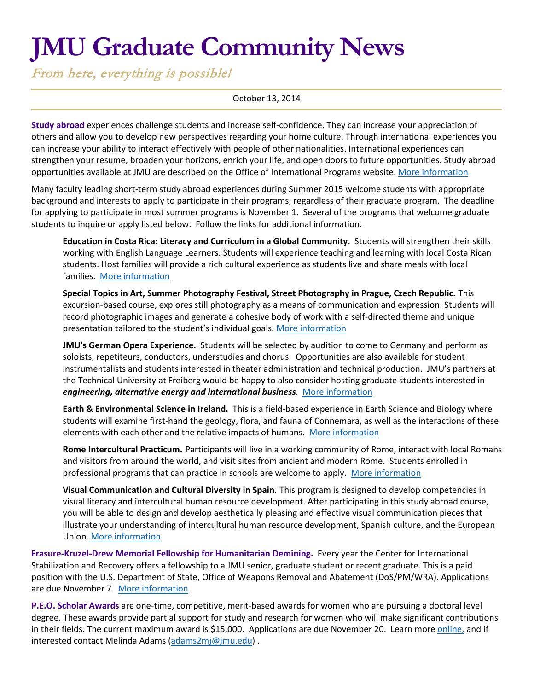# **JMU Graduate Community News**

From here, everything is possible!

### October 13, 2014

**Study abroad** experiences challenge students and increase self-confidence. They can increase your appreciation of others and allow you to develop new perspectives regarding your home culture. Through international experiences you can increase your ability to interact effectively with people of other nationalities. International experiences can strengthen your resume, broaden your horizons, enrich your life, and open doors to future opportunities. Study abroad opportunities available at JMU are described on the Office of International Programs website. [More information](http://www.jmu.edu/international/abroad/all-programs/index.shtml)

Many faculty leading short-term study abroad experiences during Summer 2015 welcome students with appropriate background and interests to apply to participate in their programs, regardless of their graduate program. The deadline for applying to participate in most summer programs is November 1. Several of the programs that welcome graduate students to inquire or apply listed below. Follow the links for additional information.

**Education in Costa Rica: Literacy and Curriculum in a Global Community.** Students will strengthen their skills working with English Language Learners. Students will experience teaching and learning with local Costa Rican students. Host families will provide a rich cultural experience as students live and share meals with local families. [More information](http://www.jmu.edu/international/abroad/programs/jmu-costa-rica-education.shtml)

**Special Topics in Art, Summer Photography Festival, Street Photography in Prague, Czech Republic.** This excursion-based course, explores still photography as a means of communication and expression. Students will record photographic images and generate a cohesive body of work with a self-directed theme and unique presentation tailored to the student's individual goals. [More information](http://www.jmu.edu/international/abroad/programs/jmu-czech-art.shtml)

**JMU's German Opera Experience.** Students will be selected by audition to come to Germany and perform as soloists, repetiteurs, conductors, understudies and chorus. Opportunities are also available for student instrumentalists and students interested in theater administration and technical production. JMU's partners at the Technical University at Freiberg would be happy to also consider hosting graduate students interested in *engineering, alternative energy and international business*. [More information](http://www.jmu.edu/international/abroad/programs/germany-music.shtml)

**Earth & Environmental Science in Ireland.** This is a field-based experience in Earth Science and Biology where students will examine first-hand the geology, flora, and fauna of Connemara, as well as the interactions of these elements with each other and the relative impacts of humans. [More information](http://www.jmu.edu/international/abroad/programs/jmu-ireland-earth.shtml)

**Rome Intercultural Practicum.** Participants will live in a working community of Rome, interact with local Romans and visitors from around the world, and visit sites from ancient and modern Rome. Students enrolled in professional programs that can practice in schools are welcome to apply. [More information](http://www.jmu.edu/international/abroad/programs/jmu-italy-rome-practicum.shtml)

**Visual Communication and Cultural Diversity in Spain.** This program is designed to develop competencies in visual literacy and intercultural human resource development. After participating in this study abroad course, you will be able to design and develop aesthetically pleasing and effective visual communication pieces that illustrate your understanding of intercultural human resource development, Spanish culture, and the European Union. [More information](http://www.jmu.edu/international/abroad/programs/jmu-salamanca-hrd.shtml)

**Frasure-Kruzel-Drew Memorial Fellowship for Humanitarian Demining.** Every year the Center for International Stabilization and Recovery offers a fellowship to a JMU senior, graduate student or recent graduate. This is a paid position with the U.S. Department of State, Office of Weapons Removal and Abatement (DoS/PM/WRA). Applications are due November 7. [More information](http://www.jmu.edu/cisr/other/fellowship.shtml)

**P.E.O. Scholar Awards** are one-time, competitive, merit-based awards for women who are pursuing a doctoral level degree. These awards provide partial support for study and research for women who will make significant contributions in their fields. The current maximum award is \$15,000. Applications are due November 20. Learn more [online,](http://www.peointernational.org/about-peo-scholar-awards-psa) and if interested contact Melinda Adams [\(adams2mj@jmu.edu\)](mailto:adams2mj@jmu.edu) .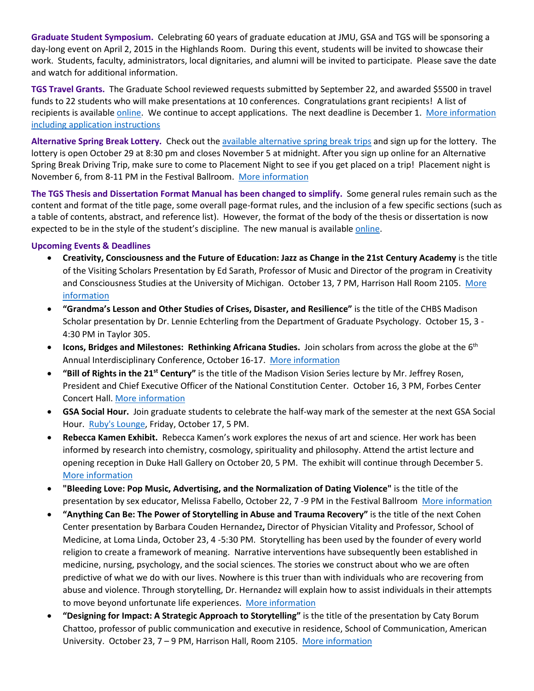**Graduate Student Symposium.** Celebrating 60 years of graduate education at JMU, GSA and TGS will be sponsoring a day-long event on April 2, 2015 in the Highlands Room. During this event, students will be invited to showcase their work. Students, faculty, administrators, local dignitaries, and alumni will be invited to participate. Please save the date and watch for additional information.

**TGS Travel Grants.** The Graduate School reviewed requests submitted by September 22, and awarded \$5500 in travel funds to 22 students who will make presentations at 10 conferences. Congratulations grant recipients! A list of recipients is available [online.](http://www.jmu.edu/grad/current-students/awards/travel-grants-recipients.shtml) We continue to accept applications. The next deadline is December 1. [More information](http://www.jmu.edu/grad/current-students/travel-grants.shtml)  [including application instructions](http://www.jmu.edu/grad/current-students/travel-grants.shtml)

**Alternative Spring Break Lottery.** Check out the [available alternative spring break trips](http://www.jmu.edu/abp/trip-descriptions/index.shtml) and sign up for the lottery. The lottery is open October 29 at 8:30 pm and closes November 5 at midnight. After you sign up online for an Alternative Spring Break Driving Trip, make sure to come to Placement Night to see if you get placed on a trip! Placement night is November 6, from 8-11 PM in the Festival Ballroom. [More information](http://www.jmu.edu/abp/index.shtml)

**The TGS Thesis and Dissertation Format Manual has been changed to simplify.** Some general rules remain such as the content and format of the title page, some overall page-format rules, and the inclusion of a few specific sections (such as a table of contents, abstract, and reference list). However, the format of the body of the thesis or dissertation is now expected to be in the style of the student's discipline. The new manual is availabl[e online.](http://www.jmu.edu/grad/_files/2014-15Manual.pdf)

### **Upcoming Events & Deadlines**

- **Creativity, Consciousness and the Future of Education: Jazz as Change in the 21st Century Academy** is the title of the Visiting Scholars Presentation by Ed Sarath, Professor of Music and Director of the program in Creativity and Consciousness Studies at the University of Michigan. October 13, 7 PM, Harrison Hall Room 2105. More [information](http://www.jmu.edu/events/2014/10/13-visiting-scholar-ed-sarath.shtml)
- **"Grandma's Lesson and Other Studies of Crises, Disaster, and Resilience"** is the title of the CHBS Madison Scholar presentation by Dr. Lennie Echterling from the Department of Graduate Psychology. October 15, 3 - 4:30 PM in Taylor 305.
- **Icons, Bridges and Milestones: Rethinking Africana Studies.** Join scholars from across the globe at the 6th Annual Interdisciplinary Conference, October 16-17. [More information](http://www.jmu.edu/africana/conference-program.shtml)
- **"Bill of Rights in the 21st Century"** is the title of the Madison Vision Series lecture by Mr. Jeffrey Rosen, President and Chief Executive Officer of the National Constitution Center. October 16, 3 PM, Forbes Center Concert Hall. [More information](http://www.jmu.edu/events/president/2014/10/MVS_Rosen.shtml)
- **GSA Social Hour.** Join graduate students to celebrate the half-way mark of the semester at the next GSA Social Hour. [Ruby's Lounge,](http://clementinecafe.com/rubys.html) Friday, October 17, 5 PM.
- **Rebecca Kamen Exhibit.** Rebecca Kamen's work explores the nexus of art and science. Her work has been informed by research into chemistry, cosmology, spirituality and philosophy. Attend the artist lecture and opening reception in Duke Hall Gallery on October 20, 5 PM. The exhibit will continue through December 5. [More information](http://www.jmu.edu/events/artandarthistory/2014/10/20-kamen.shtml)
- **"Bleeding Love: Pop Music, Advertising, and the Normalization of Dating Violence"** is the title of the presentation by sex educator, Melissa Fabello, October 22, 7 -9 PM in the Festival Ballroom [More information](http://www.jmu.edu/events/lgbta/2014/10/22-fabello.shtml)
- **"Anything Can Be: The Power of Storytelling in Abuse and Trauma Recovery"** is the title of the next Cohen Center presentation by Barbara Couden Hernandez**,** Director of Physician Vitality and Professor, School of Medicine, at Loma Linda, October 23, 4 -5:30 PM. Storytelling has been used by the founder of every world religion to create a framework of meaning. Narrative interventions have subsequently been established in medicine, nursing, psychology, and the social sciences. The stories we construct about who we are often predictive of what we do with our lives. Nowhere is this truer than with individuals who are recovering from abuse and violence. Through storytelling, Dr. Hernandez will explain how to assist individuals in their attempts to move beyond unfortunate life experiences. [More information](http://www.jmu.edu/stories/grad/2014/0-barbara-hernandez.shtml)
- **"Designing for Impact: A Strategic Approach to Storytelling"** is the title of the presentation by Caty Borum Chattoo, professor of public communication and executive in residence, School of Communication, American University. October 23, 7 – 9 PM, Harrison Hall, Room 2105. [More information](http://www.jmu.edu/events/2014/10/23-visiting-scholar-caty-borum-chatto.shtml)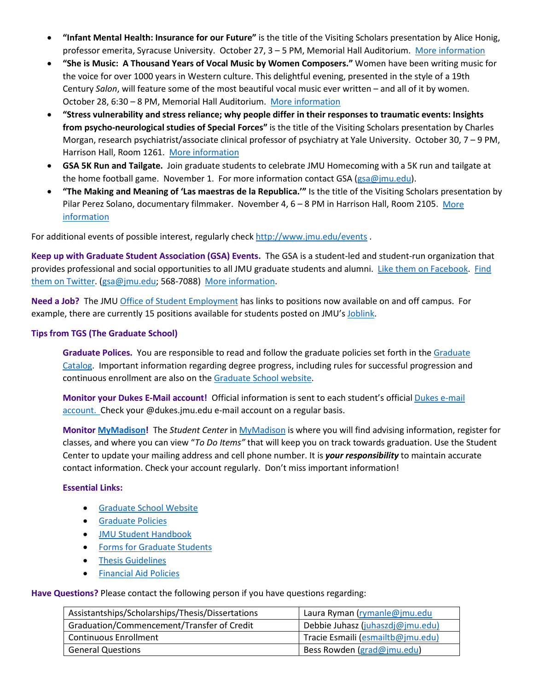- **"Infant Mental Health: Insurance for our Future"** is the title of the Visiting Scholars presentation by Alice Honig, professor emerita, Syracuse University. October 27, 3 – 5 PM, Memorial Hall Auditorium. [More information](http://www.jmu.edu/events/2014/10/27-visiting-scholar-alice-honig.shtml)
- **"She is Music: A Thousand Years of Vocal Music by Women Composers."** Women have been writing music for the voice for over 1000 years in Western culture. This delightful evening, presented in the style of a 19th Century *Salon*, will feature some of the most beautiful vocal music ever written – and all of it by women. October 28, 6:30 – 8 PM, Memorial Hall Auditorium. [More information](http://www.jmu.edu/events/forlang/2014/10/28-she-is-music-concert.shtml)
- **"Stress vulnerability and stress reliance; why people differ in their responses to traumatic events: Insights from psycho-neurological studies of Special Forces"** is the title of the Visiting Scholars presentation by Charles Morgan, research psychiatrist/associate clinical professor of psychiatry at Yale University. October 30, 7 – 9 PM, Harrison Hall, Room 1261. [More information](http://www.jmu.edu/events/2014/10/30-visiting-scholar-charles-morgan.shtml)
- **GSA 5K Run and Tailgate.** Join graduate students to celebrate JMU Homecoming with a 5K run and tailgate at the home football game. November 1. For more information contact GSA [\(gsa@jmu.edu\)](mailto:gsa@jmu.edu).
- **"The Making and Meaning of 'Las maestras de la Republica.'"** Is the title of the Visiting Scholars presentation by Pilar Perez Solano, documentary filmmaker. November 4, 6 – 8 PM in Harrison Hall, Room 2105. [More](http://www.jmu.edu/events/2014/11/04-visiting-scholar-pilar-perez-solano.shtml)  [information](http://www.jmu.edu/events/2014/11/04-visiting-scholar-pilar-perez-solano.shtml)

For additional events of possible interest, regularly check<http://www.jmu.edu/events> .

**Keep up with Graduate Student Association (GSA) Events.** The GSA is a student-led and student-run organization that provides professional and social opportunities to all JMU graduate students and alumni. [Like them on Facebook.](https://www.facebook.com/JMUGSA?fref=ts) Find [them on Twitter.](https://twitter.com/JMUGSA) [\(gsa@jmu.edu;](mailto:gsa@jmu.edu) 568-7088) [More information.](http://www.jmu.edu/grad/gsa/index.shtml)

**Need a Job?** The JM[U Office of Student](http://www.jmu.edu/stuemploy/) Employment has links to positions now available on and off campus. For example, there are currently 15 positions available for students posted on JMU'[s Joblink.](http://joblink.jmu.edu/)

# **Tips from TGS (The Graduate School)**

**Graduate Polices.** You are responsible to read and follow the graduate policies set forth in th[e Graduate](http://jmu.edu/catalog)  [Catalog.](http://jmu.edu/catalog) Important information regarding degree progress, including rules for successful progression and continuous enrollment are also on th[e Graduate School website.](http://www.jmu.edu/grad/current-students/degree-progress/beginning.shtml)

**Monitor your Dukes E-Mail account!** Official information is sent to each student's officia[l Dukes e-mail](http://www.jmu.edu/computing/helpdesk/selfhelp/DukesEmail.shtml)  [account.](http://www.jmu.edu/computing/helpdesk/selfhelp/DukesEmail.shtml) Check your @dukes.jmu.edu e-mail account on a regular basis.

**Monitor [MyMadison!](http://mymadison.jmu.edu/)** The *Student Center* in [MyMadison](http://mymadison.jmu.edu/) is where you will find advising information, register for classes, and where you can view "*To Do Items"* that will keep you on track towards graduation. Use the Student Center to update your mailing address and cell phone number. It is *your responsibility* to maintain accurate contact information. Check your account regularly. Don't miss important information!

# **Essential Links:**

- [Graduate School Website](http://www.jmu.edu/grad)
- [Graduate Policies](http://www.jmu.edu/catalog/index.shtml)
- [JMU Student Handbook](http://www.jmu.edu/osarp/handbook/)
- [Forms for Graduate Students](http://www.jmu.edu/grad/current-students/graduate-forms.shtml)
- [Thesis Guidelines](http://www.jmu.edu/grad/current-students/thesis-dissertation/information.shtml)
- [Financial Aid Policies](http://www.jmu.edu/finaid/sap.shtml)

**Have Questions?** Please contact the following person if you have questions regarding:

| Assistantships/Scholarships/Thesis/Dissertations | Laura Ryman (rymanle@jmu.edu      |
|--------------------------------------------------|-----------------------------------|
| Graduation/Commencement/Transfer of Credit       | Debbie Juhasz (juhaszdj@jmu.edu)  |
| <b>Continuous Enrollment</b>                     | Tracie Esmaili (esmailtb@jmu.edu) |
| <b>General Questions</b>                         | Bess Rowden (grad@jmu.edu)        |